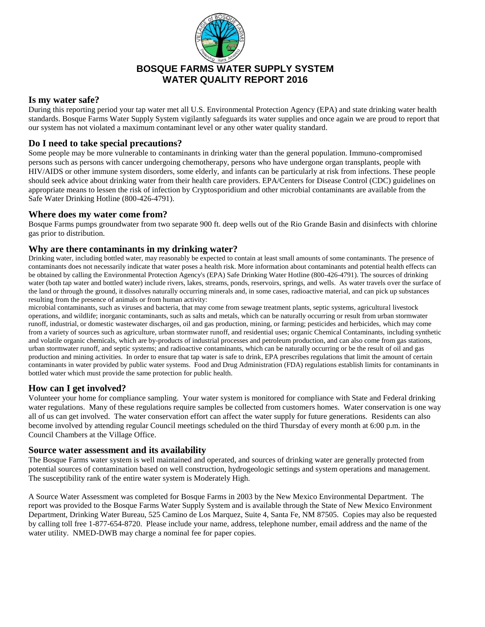

# **BOSQUE FARMS WATER SUPPLY SYSTEM WATER QUALITY REPORT 2016**

# **Is my water safe?**

During this reporting period your tap water met all U.S. Environmental Protection Agency (EPA) and state drinking water health standards. Bosque Farms Water Supply System vigilantly safeguards its water supplies and once again we are proud to report that our system has not violated a maximum contaminant level or any other water quality standard.

# **Do I need to take special precautions?**

Some people may be more vulnerable to contaminants in drinking water than the general population. Immuno-compromised persons such as persons with cancer undergoing chemotherapy, persons who have undergone organ transplants, people with HIV/AIDS or other immune system disorders, some elderly, and infants can be particularly at risk from infections. These people should seek advice about drinking water from their health care providers. EPA/Centers for Disease Control (CDC) guidelines on appropriate means to lessen the risk of infection by Cryptosporidium and other microbial contaminants are available from the Safe Water Drinking Hotline (800-426-4791).

### **Where does my water come from?**

Bosque Farms pumps groundwater from two separate 900 ft. deep wells out of the Rio Grande Basin and disinfects with chlorine gas prior to distribution.

### **Why are there contaminants in my drinking water?**

Drinking water, including bottled water, may reasonably be expected to contain at least small amounts of some contaminants. The presence of contaminants does not necessarily indicate that water poses a health risk. More information about contaminants and potential health effects can be obtained by calling the Environmental Protection Agency's (EPA) Safe Drinking Water Hotline (800-426-4791). The sources of drinking water (both tap water and bottled water) include rivers, lakes, streams, ponds, reservoirs, springs, and wells. As water travels over the surface of the land or through the ground, it dissolves naturally occurring minerals and, in some cases, radioactive material, and can pick up substances resulting from the presence of animals or from human activity:

microbial contaminants, such as viruses and bacteria, that may come from sewage treatment plants, septic systems, agricultural livestock operations, and wildlife; inorganic contaminants, such as salts and metals, which can be naturally occurring or result from urban stormwater runoff, industrial, or domestic wastewater discharges, oil and gas production, mining, or farming; pesticides and herbicides, which may come from a variety of sources such as agriculture, urban stormwater runoff, and residential uses; organic Chemical Contaminants, including synthetic and volatile organic chemicals, which are by-products of industrial processes and petroleum production, and can also come from gas stations, urban stormwater runoff, and septic systems; and radioactive contaminants, which can be naturally occurring or be the result of oil and gas production and mining activities. In order to ensure that tap water is safe to drink, EPA prescribes regulations that limit the amount of certain contaminants in water provided by public water systems. Food and Drug Administration (FDA) regulations establish limits for contaminants in bottled water which must provide the same protection for public health.

### **How can I get involved?**

Volunteer your home for compliance sampling. Your water system is monitored for compliance with State and Federal drinking water regulations. Many of these regulations require samples be collected from customers homes. Water conservation is one way all of us can get involved. The water conservation effort can affect the water supply for future generations. Residents can also become involved by attending regular Council meetings scheduled on the third Thursday of every month at 6:00 p.m. in the Council Chambers at the Village Office.

### **Source water assessment and its availability**

The Bosque Farms water system is well maintained and operated, and sources of drinking water are generally protected from potential sources of contamination based on well construction, hydrogeologic settings and system operations and management. The susceptibility rank of the entire water system is Moderately High.

A Source Water Assessment was completed for Bosque Farms in 2003 by the New Mexico Environmental Department. The report was provided to the Bosque Farms Water Supply System and is available through the State of New Mexico Environment Department, Drinking Water Bureau, 525 Camino de Los Marquez, Suite 4, Santa Fe, NM 87505. Copies may also be requested by calling toll free 1-877-654-8720. Please include your name, address, telephone number, email address and the name of the water utility. NMED-DWB may charge a nominal fee for paper copies.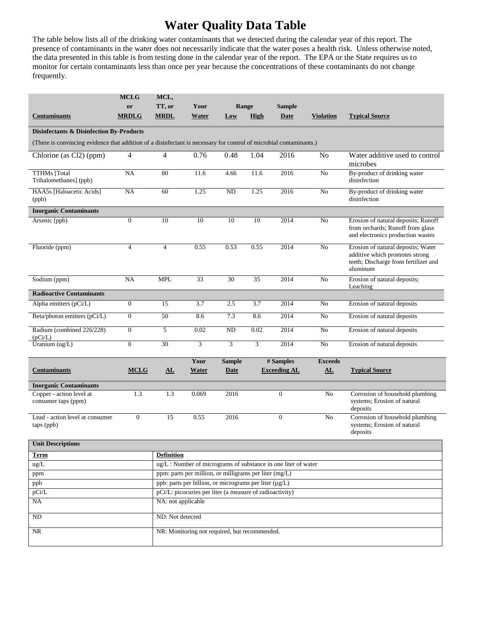# **Water Quality Data Table**

The table below lists all of the drinking water contaminants that we detected during the calendar year of this report. The presence of contaminants in the water does not necessarily indicate that the water poses a health risk. Unless otherwise noted, the data presented in this table is from testing done in the calendar year of the report. The EPA or the State requires us to monitor for certain contaminants less than once per year because the concentrations of these contaminants do not change frequently.

|                                                                                                                    | <b>MCLG</b>      | MCL,                                                          |                                               |               |             |                     |                  |                                                                                                                          |
|--------------------------------------------------------------------------------------------------------------------|------------------|---------------------------------------------------------------|-----------------------------------------------|---------------|-------------|---------------------|------------------|--------------------------------------------------------------------------------------------------------------------------|
|                                                                                                                    | or               | TT, or                                                        | Your                                          | Range         |             | <b>Sample</b>       |                  |                                                                                                                          |
| <b>Contaminants</b>                                                                                                | <b>MRDLG</b>     | <b>MRDL</b>                                                   | Water                                         | Low           | <b>High</b> | Date                | <b>Violation</b> | <b>Typical Source</b>                                                                                                    |
| <b>Disinfectants &amp; Disinfection By-Products</b>                                                                |                  |                                                               |                                               |               |             |                     |                  |                                                                                                                          |
| (There is convincing evidence that addition of a disinfectant is necessary for control of microbial contaminants.) |                  |                                                               |                                               |               |             |                     |                  |                                                                                                                          |
| Chlorine (as Cl2) (ppm)                                                                                            | 4                | $\overline{4}$                                                | 0.76                                          | 0.48          | 1.04        | 2016                | No               | Water additive used to control<br>microbes                                                                               |
| <b>TTHMs</b> [Total<br>Trihalomethanes] (ppb)                                                                      | <b>NA</b>        | 80                                                            | 11.6                                          | 4.66          | 11.6        | 2016                | No               | By-product of drinking water<br>disinfection                                                                             |
| HAA5s [Haloacetic Acids]<br>(ppb)                                                                                  | NA               | 60                                                            | 1.25                                          | ND            | 1.25        | 2016                | No               | By-product of drinking water<br>disinfection                                                                             |
| <b>Inorganic Contaminants</b>                                                                                      |                  |                                                               |                                               |               |             |                     |                  |                                                                                                                          |
| Arsenic (ppb)                                                                                                      | $\mathbf{0}$     | 10                                                            | 10                                            | 10            | 10          | 2014                | N <sub>o</sub>   | Erosion of natural deposits; Runoff<br>from orchards; Runoff from glass<br>and electronics production wastes             |
| Fluoride (ppm)                                                                                                     | $\overline{4}$   | $\overline{4}$                                                | 0.55                                          | 0.53          | 0.55        | 2014                | No               | Erosion of natural deposits; Water<br>additive which promotes strong<br>teeth; Discharge from fertilizer and<br>aluminum |
| Sodium (ppm)                                                                                                       | NA               | <b>MPL</b>                                                    | 33                                            | 30            | 35          | 2014                | No               | Erosion of natural deposits;<br>Leaching                                                                                 |
| <b>Radioactive Contaminants</b>                                                                                    |                  |                                                               |                                               |               |             |                     |                  |                                                                                                                          |
| Alpha emitters (pCi/L)                                                                                             | $\boldsymbol{0}$ | 15                                                            | 3.7                                           | 2.5           | 3.7         | 2014                | No               | Erosion of natural deposits                                                                                              |
| Beta/photon emitters (pCi/L)                                                                                       | $\boldsymbol{0}$ | 50                                                            | 8.6                                           | 7.3           | 8.6         | 2014                | No               | Erosion of natural deposits                                                                                              |
| Radium (combined 226/228)<br>(pCi/L)                                                                               | $\boldsymbol{0}$ | 5                                                             | 0.02                                          | ND            | 0.02        | 2014                | No               | Erosion of natural deposits                                                                                              |
| Uranium (ug/L)                                                                                                     | $\mathbf{0}$     | 30                                                            | 3                                             | 3             | 3           | 2014                | N <sub>o</sub>   | Erosion of natural deposits                                                                                              |
|                                                                                                                    |                  |                                                               | Your                                          | <b>Sample</b> |             | # Samples           | <b>Exceeds</b>   |                                                                                                                          |
| <b>Contaminants</b>                                                                                                | <b>MCLG</b>      | AL                                                            | <b>Water</b>                                  | <b>Date</b>   |             | <b>Exceeding AL</b> | AL               | <b>Typical Source</b>                                                                                                    |
| <b>Inorganic Contaminants</b>                                                                                      |                  |                                                               |                                               |               |             |                     |                  |                                                                                                                          |
| Copper - action level at<br>consumer taps (ppm)                                                                    | 1.3              | 1.3                                                           | 0.069                                         | 2016          |             | $\overline{0}$      | No               | Corrosion of household plumbing<br>systems; Erosion of natural<br>deposits                                               |
| Lead - action level at consumer<br>taps (ppb)                                                                      | $\boldsymbol{0}$ | 15                                                            | 0.55                                          | 2016          |             | $\overline{0}$      | No               | Corrosion of household plumbing<br>systems; Erosion of natural<br>deposits                                               |
| <b>Unit Descriptions</b>                                                                                           |                  |                                                               |                                               |               |             |                     |                  |                                                                                                                          |
| <b>Term</b>                                                                                                        |                  | <b>Definition</b>                                             |                                               |               |             |                     |                  |                                                                                                                          |
| ug/L                                                                                                               |                  | ug/L: Number of micrograms of substance in one liter of water |                                               |               |             |                     |                  |                                                                                                                          |
| ppm                                                                                                                |                  | ppm: parts per million, or milligrams per liter (mg/L)        |                                               |               |             |                     |                  |                                                                                                                          |
| ppb                                                                                                                |                  | ppb: parts per billion, or micrograms per liter (µg/L)        |                                               |               |             |                     |                  |                                                                                                                          |
| pCi/L                                                                                                              |                  | pCi/L: picocuries per liter (a measure of radioactivity)      |                                               |               |             |                     |                  |                                                                                                                          |
| NA                                                                                                                 |                  | NA: not applicable                                            |                                               |               |             |                     |                  |                                                                                                                          |
| $\rm ND$                                                                                                           |                  | ND: Not detected                                              |                                               |               |             |                     |                  |                                                                                                                          |
| NR                                                                                                                 |                  |                                                               | NR: Monitoring not required, but recommended. |               |             |                     |                  |                                                                                                                          |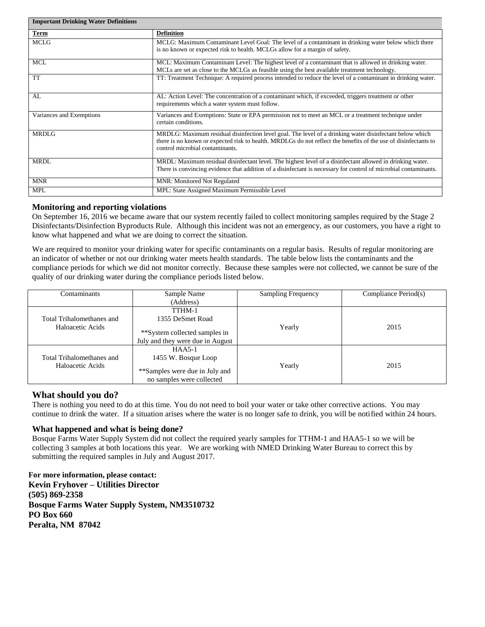| <b>Important Drinking Water Definitions</b> |                                                                                                                                                                                                                                                               |  |  |  |  |  |
|---------------------------------------------|---------------------------------------------------------------------------------------------------------------------------------------------------------------------------------------------------------------------------------------------------------------|--|--|--|--|--|
| <b>Term</b>                                 | <b>Definition</b>                                                                                                                                                                                                                                             |  |  |  |  |  |
| <b>MCLG</b>                                 | MCLG: Maximum Contaminant Level Goal: The level of a contaminant in drinking water below which there<br>is no known or expected risk to health. MCLGs allow for a margin of safety.                                                                           |  |  |  |  |  |
| <b>MCL</b>                                  | MCL: Maximum Contaminant Level: The highest level of a contaminant that is allowed in drinking water.<br>MCLs are set as close to the MCLGs as feasible using the best available treatment technology.                                                        |  |  |  |  |  |
| <b>TT</b>                                   | TT: Treatment Technique: A required process intended to reduce the level of a contaminant in drinking water.                                                                                                                                                  |  |  |  |  |  |
| AL                                          | AL: Action Level: The concentration of a contaminant which, if exceeded, triggers treatment or other<br>requirements which a water system must follow.                                                                                                        |  |  |  |  |  |
| Variances and Exemptions                    | Variances and Exemptions: State or EPA permission not to meet an MCL or a treatment technique under<br>certain conditions.                                                                                                                                    |  |  |  |  |  |
| <b>MRDLG</b>                                | MRDLG: Maximum residual disinfection level goal. The level of a drinking water disinfectant below which<br>there is no known or expected risk to health. MRDLGs do not reflect the benefits of the use of disinfectants to<br>control microbial contaminants. |  |  |  |  |  |
| <b>MRDL</b>                                 | MRDL: Maximum residual disinfectant level. The highest level of a disinfectant allowed in drinking water.<br>There is convincing evidence that addition of a disinfectant is necessary for control of microbial contaminants.                                 |  |  |  |  |  |
| <b>MNR</b>                                  | <b>MNR: Monitored Not Regulated</b>                                                                                                                                                                                                                           |  |  |  |  |  |
| <b>MPL</b>                                  | MPL: State Assigned Maximum Permissible Level                                                                                                                                                                                                                 |  |  |  |  |  |

### **Monitoring and reporting violations**

On September 16, 2016 we became aware that our system recently failed to collect monitoring samples required by the Stage 2 Disinfectants/Disinfection Byproducts Rule. Although this incident was not an emergency, as our customers, you have a right to know what happened and what we are doing to correct the situation.

We are required to monitor your drinking water for specific contaminants on a regular basis. Results of regular monitoring are an indicator of whether or not our drinking water meets health standards. The table below lists the contaminants and the compliance periods for which we did not monitor correctly. Because these samples were not collected, we cannot be sure of the quality of our drinking water during the compliance periods listed below.

| Contaminants                                  | Sample Name                      | <b>Sampling Frequency</b> | Compliance Period(s) |
|-----------------------------------------------|----------------------------------|---------------------------|----------------------|
|                                               | (Address)                        |                           |                      |
| Total Trihalomethanes and<br>Haloacetic Acids | TTHM-1                           |                           |                      |
|                                               | 1355 DeSmet Road                 |                           | 2015                 |
|                                               |                                  | Yearly                    |                      |
|                                               | **System collected samples in    |                           |                      |
|                                               | July and they were due in August |                           |                      |
| Total Trihalomethanes and<br>Haloacetic Acids | $HAA5-1$                         |                           | 2015                 |
|                                               | 1455 W. Bosque Loop              |                           |                      |
|                                               |                                  | Yearly                    |                      |
|                                               | **Samples were due in July and   |                           |                      |
|                                               | no samples were collected        |                           |                      |

# **What should you do?**

There is nothing you need to do at this time. You do not need to boil your water or take other corrective actions. You may continue to drink the water. If a situation arises where the water is no longer safe to drink, you will be notified within 24 hours.

#### **What happened and what is being done?**

Bosque Farms Water Supply System did not collect the required yearly samples for TTHM-1 and HAA5-1 so we will be collecting 3 samples at both locations this year. We are working with NMED Drinking Water Bureau to correct this by submitting the required samples in July and August 2017.

**For more information, please contact: Kevin Fryhover – Utilities Director (505) 869-2358 Bosque Farms Water Supply System, NM3510732 PO Box 660 Peralta, NM 87042**